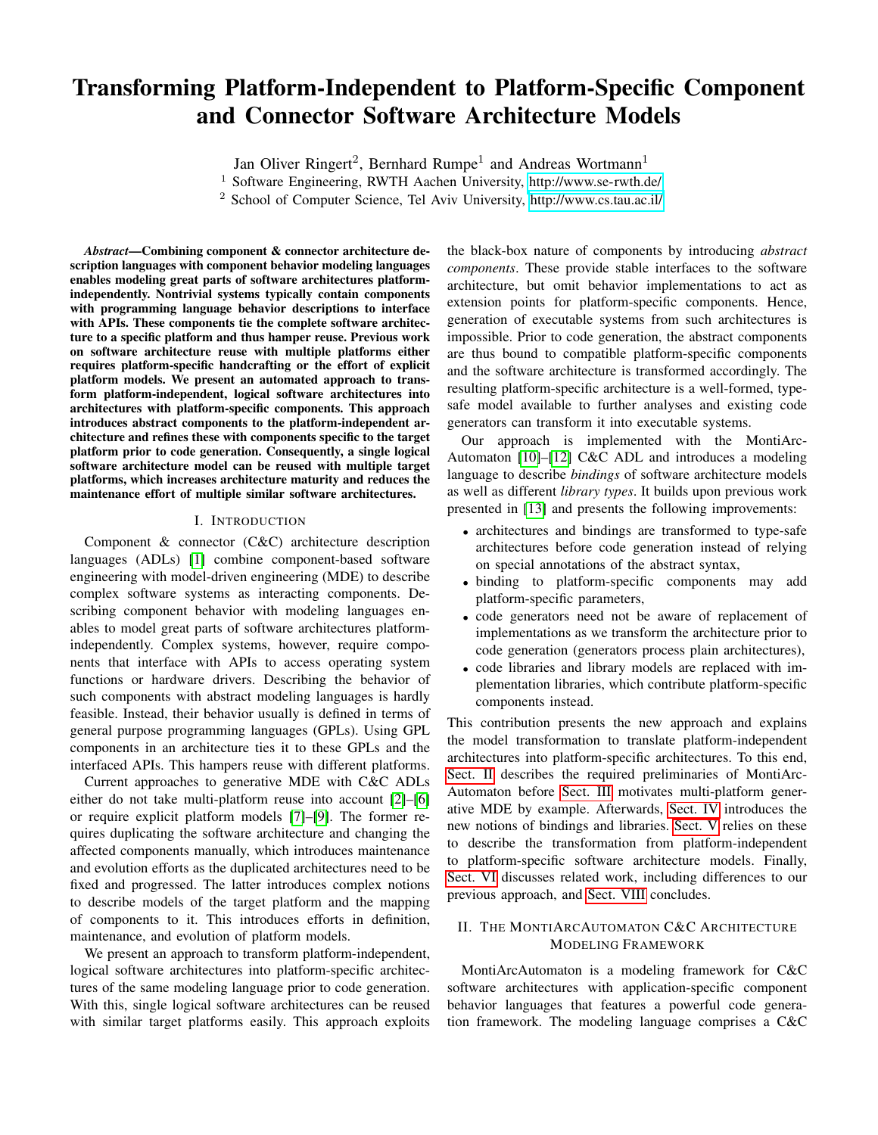# Transforming Platform-Independent to Platform-Specific Component and Connector Software Architecture Models

Jan Oliver Ringert<sup>2</sup>, Bernhard Rumpe<sup>1</sup> and Andreas Wortmann<sup>1</sup>

<sup>1</sup> Software Engineering, RWTH Aachen University,<http://www.se-rwth.de/>

<sup>2</sup> School of Computer Science, Tel Aviv University,<http://www.cs.tau.ac.il/>

*Abstract*—Combining component & connector architecture description languages with component behavior modeling languages enables modeling great parts of software architectures platformindependently. Nontrivial systems typically contain components with programming language behavior descriptions to interface with APIs. These components tie the complete software architecture to a specific platform and thus hamper reuse. Previous work on software architecture reuse with multiple platforms either requires platform-specific handcrafting or the effort of explicit platform models. We present an automated approach to transform platform-independent, logical software architectures into architectures with platform-specific components. This approach introduces abstract components to the platform-independent architecture and refines these with components specific to the target platform prior to code generation. Consequently, a single logical software architecture model can be reused with multiple target platforms, which increases architecture maturity and reduces the maintenance effort of multiple similar software architectures.

#### I. INTRODUCTION

Component & connector (C&C) architecture description languages (ADLs) [\[1\]](#page-5-0) combine component-based software engineering with model-driven engineering (MDE) to describe complex software systems as interacting components. Describing component behavior with modeling languages enables to model great parts of software architectures platformindependently. Complex systems, however, require components that interface with APIs to access operating system functions or hardware drivers. Describing the behavior of such components with abstract modeling languages is hardly feasible. Instead, their behavior usually is defined in terms of general purpose programming languages (GPLs). Using GPL components in an architecture ties it to these GPLs and the interfaced APIs. This hampers reuse with different platforms.

Current approaches to generative MDE with C&C ADLs either do not take multi-platform reuse into account [\[2\]](#page-5-1)–[\[6\]](#page-5-2) or require explicit platform models [\[7\]](#page-5-3)–[\[9\]](#page-5-4). The former requires duplicating the software architecture and changing the affected components manually, which introduces maintenance and evolution efforts as the duplicated architectures need to be fixed and progressed. The latter introduces complex notions to describe models of the target platform and the mapping of components to it. This introduces efforts in definition, maintenance, and evolution of platform models.

We present an approach to transform platform-independent, logical software architectures into platform-specific architectures of the same modeling language prior to code generation. With this, single logical software architectures can be reused with similar target platforms easily. This approach exploits the black-box nature of components by introducing *abstract components*. These provide stable interfaces to the software architecture, but omit behavior implementations to act as extension points for platform-specific components. Hence, generation of executable systems from such architectures is impossible. Prior to code generation, the abstract components are thus bound to compatible platform-specific components and the software architecture is transformed accordingly. The resulting platform-specific architecture is a well-formed, typesafe model available to further analyses and existing code generators can transform it into executable systems.

Our approach is implemented with the MontiArc-Automaton [\[10\]](#page-5-5)–[\[12\]](#page-5-6) C&C ADL and introduces a modeling language to describe *bindings* of software architecture models as well as different *library types*. It builds upon previous work presented in [\[13\]](#page-5-7) and presents the following improvements:

- architectures and bindings are transformed to type-safe architectures before code generation instead of relying on special annotations of the abstract syntax,
- binding to platform-specific components may add platform-specific parameters,
- code generators need not be aware of replacement of implementations as we transform the architecture prior to code generation (generators process plain architectures),
- code libraries and library models are replaced with implementation libraries, which contribute platform-specific components instead.

This contribution presents the new approach and explains the model transformation to translate platform-independent architectures into platform-specific architectures. To this end, [Sect. II](#page-0-0) describes the required preliminaries of MontiArc-Automaton before [Sect. III](#page-1-0) motivates multi-platform generative MDE by example. Afterwards, [Sect. IV](#page-1-1) introduces the new notions of bindings and libraries. [Sect. V](#page-3-0) relies on these to describe the transformation from platform-independent to platform-specific software architecture models. Finally, [Sect. VI](#page-4-0) discusses related work, including differences to our previous approach, and [Sect. VIII](#page-5-8) concludes.

# <span id="page-0-0"></span>II. THE MONTIARCAUTOMATON C&C ARCHITECTURE MODELING FRAMEWORK

MontiArcAutomaton is a modeling framework for C&C software architectures with application-specific component behavior languages that features a powerful code generation framework. The modeling language comprises a C&C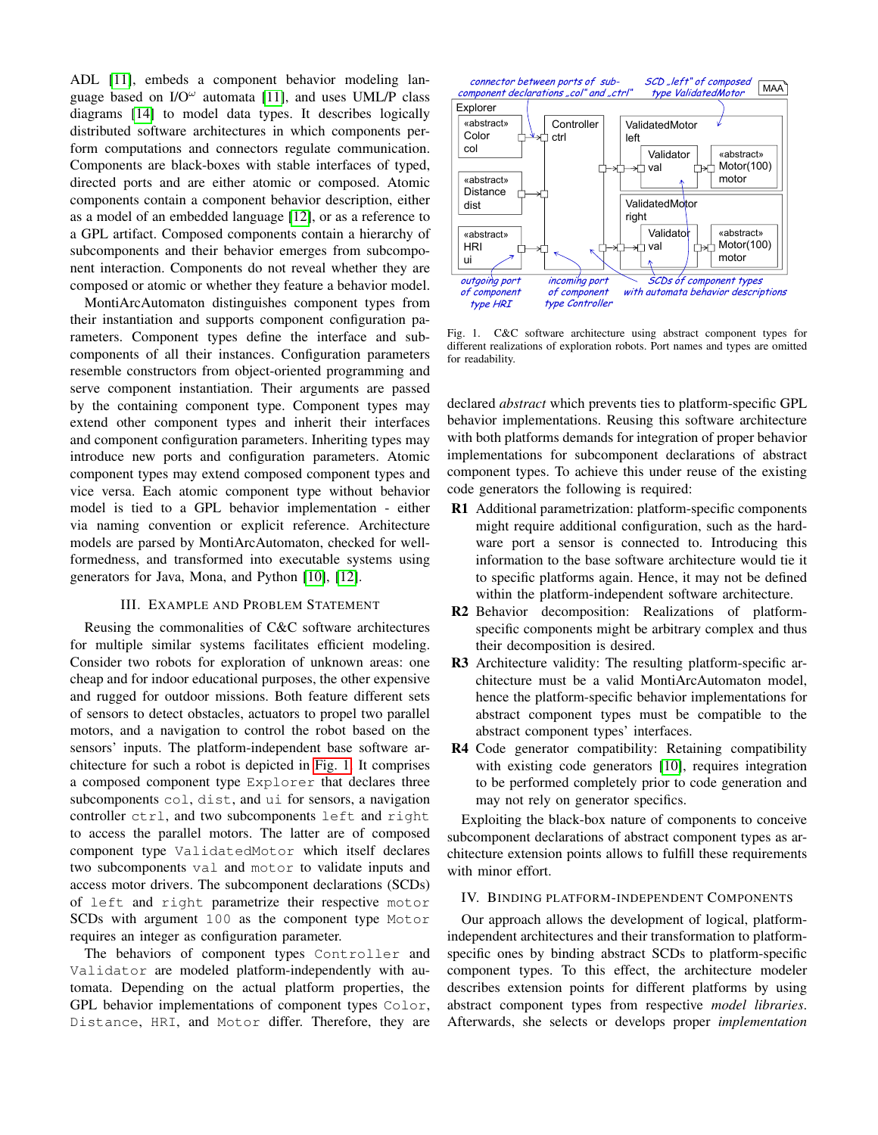ADL [\[11\]](#page-5-9), embeds a component behavior modeling language based on  $IO^{\omega}$  automata [\[11\]](#page-5-9), and uses UML/P class diagrams [\[14\]](#page-5-10) to model data types. It describes logically distributed software architectures in which components perform computations and connectors regulate communication. Components are black-boxes with stable interfaces of typed, directed ports and are either atomic or composed. Atomic components contain a component behavior description, either as a model of an embedded language [\[12\]](#page-5-6), or as a reference to a GPL artifact. Composed components contain a hierarchy of subcomponents and their behavior emerges from subcomponent interaction. Components do not reveal whether they are composed or atomic or whether they feature a behavior model.

MontiArcAutomaton distinguishes component types from their instantiation and supports component configuration parameters. Component types define the interface and subcomponents of all their instances. Configuration parameters resemble constructors from object-oriented programming and serve component instantiation. Their arguments are passed by the containing component type. Component types may extend other component types and inherit their interfaces and component configuration parameters. Inheriting types may introduce new ports and configuration parameters. Atomic component types may extend composed component types and vice versa. Each atomic component type without behavior model is tied to a GPL behavior implementation - either via naming convention or explicit reference. Architecture models are parsed by MontiArcAutomaton, checked for wellformedness, and transformed into executable systems using generators for Java, Mona, and Python [\[10\]](#page-5-5), [\[12\]](#page-5-6).

## III. EXAMPLE AND PROBLEM STATEMENT

<span id="page-1-0"></span>Reusing the commonalities of C&C software architectures for multiple similar systems facilitates efficient modeling. Consider two robots for exploration of unknown areas: one cheap and for indoor educational purposes, the other expensive and rugged for outdoor missions. Both feature different sets of sensors to detect obstacles, actuators to propel two parallel motors, and a navigation to control the robot based on the sensors' inputs. The platform-independent base software architecture for such a robot is depicted in [Fig. 1.](#page-1-2) It comprises a composed component type Explorer that declares three subcomponents col, dist, and ui for sensors, a navigation controller ctrl, and two subcomponents left and right to access the parallel motors. The latter are of composed component type ValidatedMotor which itself declares two subcomponents val and motor to validate inputs and access motor drivers. The subcomponent declarations (SCDs) of left and right parametrize their respective motor SCDs with argument 100 as the component type Motor requires an integer as configuration parameter.

The behaviors of component types Controller and Validator are modeled platform-independently with automata. Depending on the actual platform properties, the GPL behavior implementations of component types Color, Distance, HRI, and Motor differ. Therefore, they are



<span id="page-1-2"></span>Fig. 1. C&C software architecture using abstract component types for different realizations of exploration robots. Port names and types are omitted for readability.

declared *abstract* which prevents ties to platform-specific GPL behavior implementations. Reusing this software architecture with both platforms demands for integration of proper behavior implementations for subcomponent declarations of abstract component types. To achieve this under reuse of the existing code generators the following is required:

- R1 Additional parametrization: platform-specific components might require additional configuration, such as the hardware port a sensor is connected to. Introducing this information to the base software architecture would tie it to specific platforms again. Hence, it may not be defined within the platform-independent software architecture.
- R2 Behavior decomposition: Realizations of platformspecific components might be arbitrary complex and thus their decomposition is desired.
- R3 Architecture validity: The resulting platform-specific architecture must be a valid MontiArcAutomaton model, hence the platform-specific behavior implementations for abstract component types must be compatible to the abstract component types' interfaces.
- R4 Code generator compatibility: Retaining compatibility with existing code generators [\[10\]](#page-5-5), requires integration to be performed completely prior to code generation and may not rely on generator specifics.

Exploiting the black-box nature of components to conceive subcomponent declarations of abstract component types as architecture extension points allows to fulfill these requirements with minor effort.

## <span id="page-1-1"></span>IV. BINDING PLATFORM-INDEPENDENT COMPONENTS

Our approach allows the development of logical, platformindependent architectures and their transformation to platformspecific ones by binding abstract SCDs to platform-specific component types. To this effect, the architecture modeler describes extension points for different platforms by using abstract component types from respective *model libraries*. Afterwards, she selects or develops proper *implementation*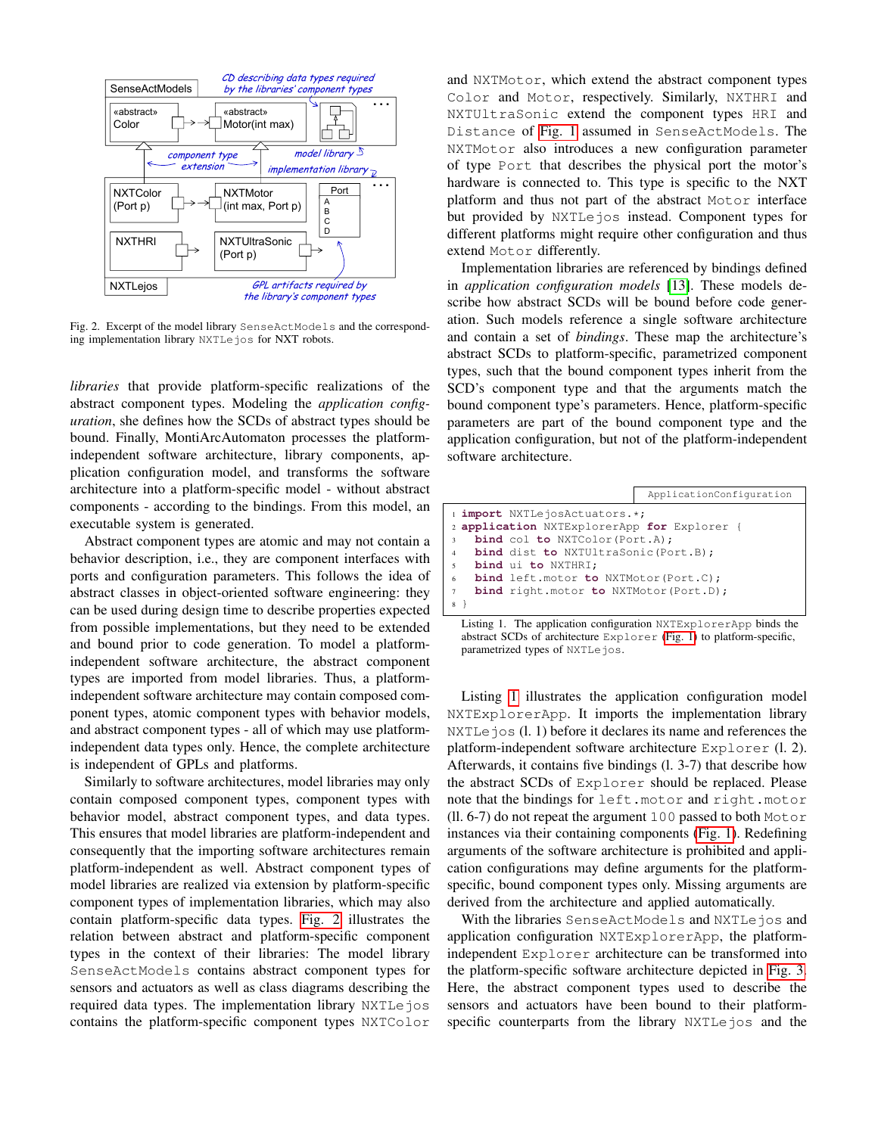

<span id="page-2-0"></span>Fig. 2. Excerpt of the model library SenseActModels and the corresponding implementation library NXTLejos for NXT robots.

*libraries* that provide platform-specific realizations of the abstract component types. Modeling the *application configuration*, she defines how the SCDs of abstract types should be bound. Finally, MontiArcAutomaton processes the platformindependent software architecture, library components, application configuration model, and transforms the software architecture into a platform-specific model - without abstract components - according to the bindings. From this model, an executable system is generated.

Abstract component types are atomic and may not contain a behavior description, i.e., they are component interfaces with ports and configuration parameters. This follows the idea of abstract classes in object-oriented software engineering: they can be used during design time to describe properties expected from possible implementations, but they need to be extended and bound prior to code generation. To model a platformindependent software architecture, the abstract component types are imported from model libraries. Thus, a platformindependent software architecture may contain composed component types, atomic component types with behavior models, and abstract component types - all of which may use platformindependent data types only. Hence, the complete architecture is independent of GPLs and platforms.

Similarly to software architectures, model libraries may only contain composed component types, component types with behavior model, abstract component types, and data types. This ensures that model libraries are platform-independent and consequently that the importing software architectures remain platform-independent as well. Abstract component types of model libraries are realized via extension by platform-specific component types of implementation libraries, which may also contain platform-specific data types. [Fig. 2](#page-2-0) illustrates the relation between abstract and platform-specific component types in the context of their libraries: The model library SenseActModels contains abstract component types for sensors and actuators as well as class diagrams describing the required data types. The implementation library NXTLejos contains the platform-specific component types NXTColor

and NXTMotor, which extend the abstract component types Color and Motor, respectively. Similarly, NXTHRI and NXTUltraSonic extend the component types HRI and Distance of [Fig. 1](#page-1-2) assumed in SenseActModels. The NXTMotor also introduces a new configuration parameter of type Port that describes the physical port the motor's hardware is connected to. This type is specific to the NXT platform and thus not part of the abstract Motor interface but provided by NXTLejos instead. Component types for different platforms might require other configuration and thus extend Motor differently.

Implementation libraries are referenced by bindings defined in *application configuration models* [\[13\]](#page-5-7). These models describe how abstract SCDs will be bound before code generation. Such models reference a single software architecture and contain a set of *bindings*. These map the architecture's abstract SCDs to platform-specific, parametrized component types, such that the bound component types inherit from the SCD's component type and that the arguments match the bound component type's parameters. Hence, platform-specific parameters are part of the bound component type and the application configuration, but not of the platform-independent software architecture.

<span id="page-2-1"></span>

|                                                               | ApplicationConfiguration |
|---------------------------------------------------------------|--------------------------|
| i <i>import</i> NXTLejosActuators.*;                          |                          |
| 2 application NXTExplorerApp for Explorer {                   |                          |
| <b>bind</b> col to NXTColor (Port.A);<br>$\mathbf{3}$         |                          |
| <b>bind</b> dist to NXTUltraSonic (Port.B);<br>$\overline{4}$ |                          |
| bind ui to NXTHRI;<br>$\sim$                                  |                          |
| <b>bind</b> left.motor <b>to</b> NXTMotor(Port.C);<br>6       |                          |
| <b>bind</b> right.motor to NXTMotor(Port.D);<br>$\tau$        |                          |
|                                                               |                          |

Listing 1. The application configuration NXTExplorerApp binds the abstract SCDs of architecture Explorer [\(Fig. 1\)](#page-1-2) to platform-specific, parametrized types of NXTLejos.

Listing [1](#page-2-1) illustrates the application configuration model NXTExplorerApp. It imports the implementation library NXTLe jos (l. 1) before it declares its name and references the platform-independent software architecture Explorer (l. 2). Afterwards, it contains five bindings (l. 3-7) that describe how the abstract SCDs of Explorer should be replaced. Please note that the bindings for left.motor and right.motor  $(11. 6-7)$  do not repeat the argument 100 passed to both Motor instances via their containing components [\(Fig. 1\)](#page-1-2). Redefining arguments of the software architecture is prohibited and application configurations may define arguments for the platformspecific, bound component types only. Missing arguments are derived from the architecture and applied automatically.

With the libraries SenseActModels and NXTLejos and application configuration NXTExplorerApp, the platformindependent Explorer architecture can be transformed into the platform-specific software architecture depicted in [Fig. 3.](#page-3-1) Here, the abstract component types used to describe the sensors and actuators have been bound to their platformspecific counterparts from the library NXTLejos and the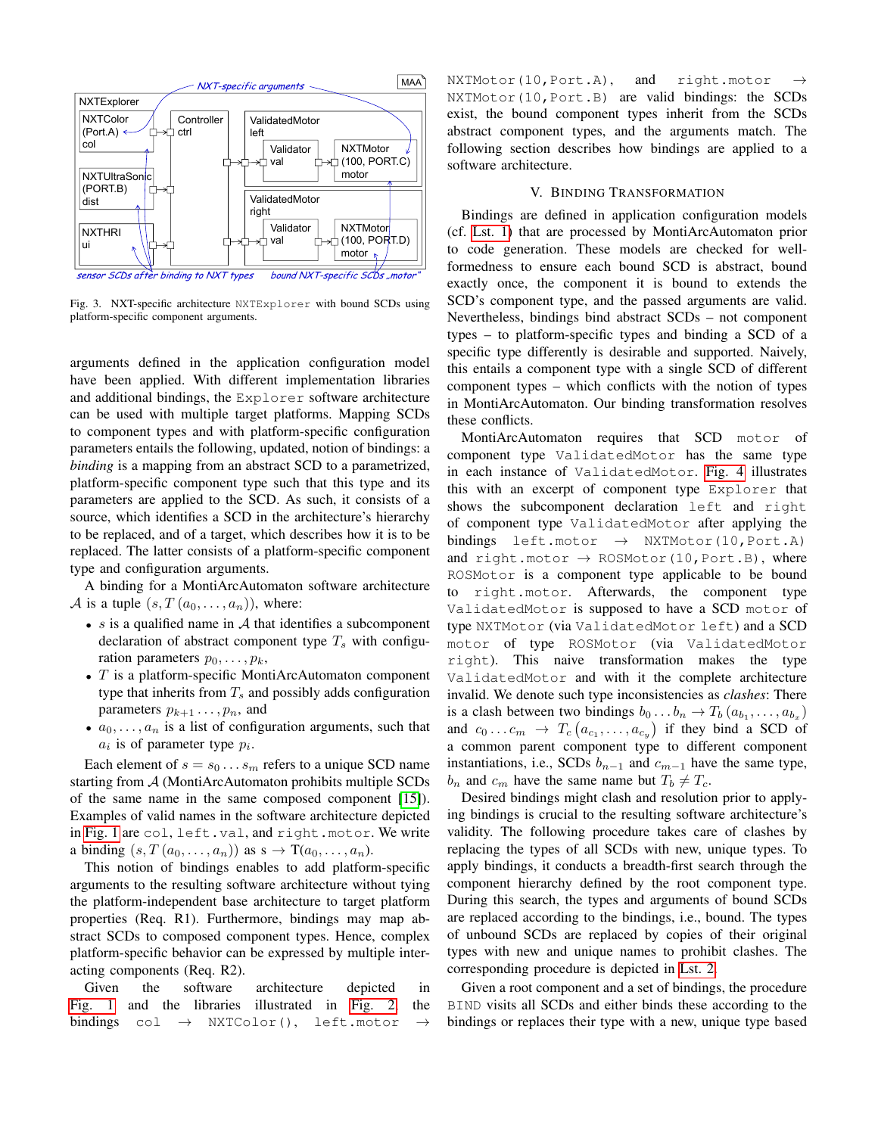

<span id="page-3-1"></span>Fig. 3. NXT-specific architecture NXTExplorer with bound SCDs using platform-specific component arguments.

arguments defined in the application configuration model have been applied. With different implementation libraries and additional bindings, the Explorer software architecture can be used with multiple target platforms. Mapping SCDs to component types and with platform-specific configuration parameters entails the following, updated, notion of bindings: a *binding* is a mapping from an abstract SCD to a parametrized, platform-specific component type such that this type and its parameters are applied to the SCD. As such, it consists of a source, which identifies a SCD in the architecture's hierarchy to be replaced, and of a target, which describes how it is to be replaced. The latter consists of a platform-specific component type and configuration arguments.

A binding for a MontiArcAutomaton software architecture A is a tuple  $(s, T(a_0, \ldots, a_n))$ , where:

- $s$  is a qualified name in  $A$  that identifies a subcomponent declaration of abstract component type  $T_s$  with configuration parameters  $p_0, \ldots, p_k$ ,
- $T$  is a platform-specific MontiArcAutomaton component type that inherits from  $T_s$  and possibly adds configuration parameters  $p_{k+1} \ldots, p_n$ , and
- $a_0, \ldots, a_n$  is a list of configuration arguments, such that  $a_i$  is of parameter type  $p_i$ .

Each element of  $s = s_0 \dots s_m$  refers to a unique SCD name starting from A (MontiArcAutomaton prohibits multiple SCDs of the same name in the same composed component [\[15\]](#page-5-11)). Examples of valid names in the software architecture depicted in [Fig. 1](#page-1-2) are col, left.val, and right.motor. We write a binding  $(s, T(a_0, \ldots, a_n))$  as  $s \to T(a_0, \ldots, a_n)$ .

This notion of bindings enables to add platform-specific arguments to the resulting software architecture without tying the platform-independent base architecture to target platform properties (Req. R1). Furthermore, bindings may map abstract SCDs to composed component types. Hence, complex platform-specific behavior can be expressed by multiple interacting components (Req. R2).

Given the software architecture depicted in [Fig. 1](#page-1-2) and the libraries illustrated in [Fig. 2,](#page-2-0) the bindings col  $\rightarrow$  NXTColor(), left.motor  $\rightarrow$ 

NXTMotor(10, Port.A), and right.motor NXTMotor(10,Port.B) are valid bindings: the SCDs exist, the bound component types inherit from the SCDs abstract component types, and the arguments match. The following section describes how bindings are applied to a software architecture.

## V. BINDING TRANSFORMATION

<span id="page-3-0"></span>Bindings are defined in application configuration models (cf. [Lst. 1\)](#page-2-1) that are processed by MontiArcAutomaton prior to code generation. These models are checked for wellformedness to ensure each bound SCD is abstract, bound exactly once, the component it is bound to extends the SCD's component type, and the passed arguments are valid. Nevertheless, bindings bind abstract SCDs – not component types – to platform-specific types and binding a SCD of a specific type differently is desirable and supported. Naively, this entails a component type with a single SCD of different component types – which conflicts with the notion of types in MontiArcAutomaton. Our binding transformation resolves these conflicts.

MontiArcAutomaton requires that SCD motor of component type ValidatedMotor has the same type in each instance of ValidatedMotor. [Fig. 4](#page-4-1) illustrates this with an excerpt of component type Explorer that shows the subcomponent declaration left and right of component type ValidatedMotor after applying the bindings left.motor  $\rightarrow$  NXTMotor(10, Port.A) and right.motor  $\rightarrow$  ROSMotor(10, Port.B), where ROSMotor is a component type applicable to be bound to right.motor. Afterwards, the component type ValidatedMotor is supposed to have a SCD motor of type NXTMotor (via ValidatedMotor left) and a SCD motor of type ROSMotor (via ValidatedMotor right). This naive transformation makes the type ValidatedMotor and with it the complete architecture invalid. We denote such type inconsistencies as *clashes*: There is a clash between two bindings  $b_0 \dots b_n \to T_b (a_{b_1}, \dots, a_{b_x})$ and  $c_0 \dots c_m \rightarrow T_c(a_{c_1}, \dots, a_{c_y})$  if they bind a SCD of a common parent component type to different component instantiations, i.e., SCDs  $b_{n-1}$  and  $c_{m-1}$  have the same type,  $b_n$  and  $c_m$  have the same name but  $T_b \neq T_c$ .

Desired bindings might clash and resolution prior to applying bindings is crucial to the resulting software architecture's validity. The following procedure takes care of clashes by replacing the types of all SCDs with new, unique types. To apply bindings, it conducts a breadth-first search through the component hierarchy defined by the root component type. During this search, the types and arguments of bound SCDs are replaced according to the bindings, i.e., bound. The types of unbound SCDs are replaced by copies of their original types with new and unique names to prohibit clashes. The corresponding procedure is depicted in [Lst. 2.](#page-4-2)

Given a root component and a set of bindings, the procedure BIND visits all SCDs and either binds these according to the bindings or replaces their type with a new, unique type based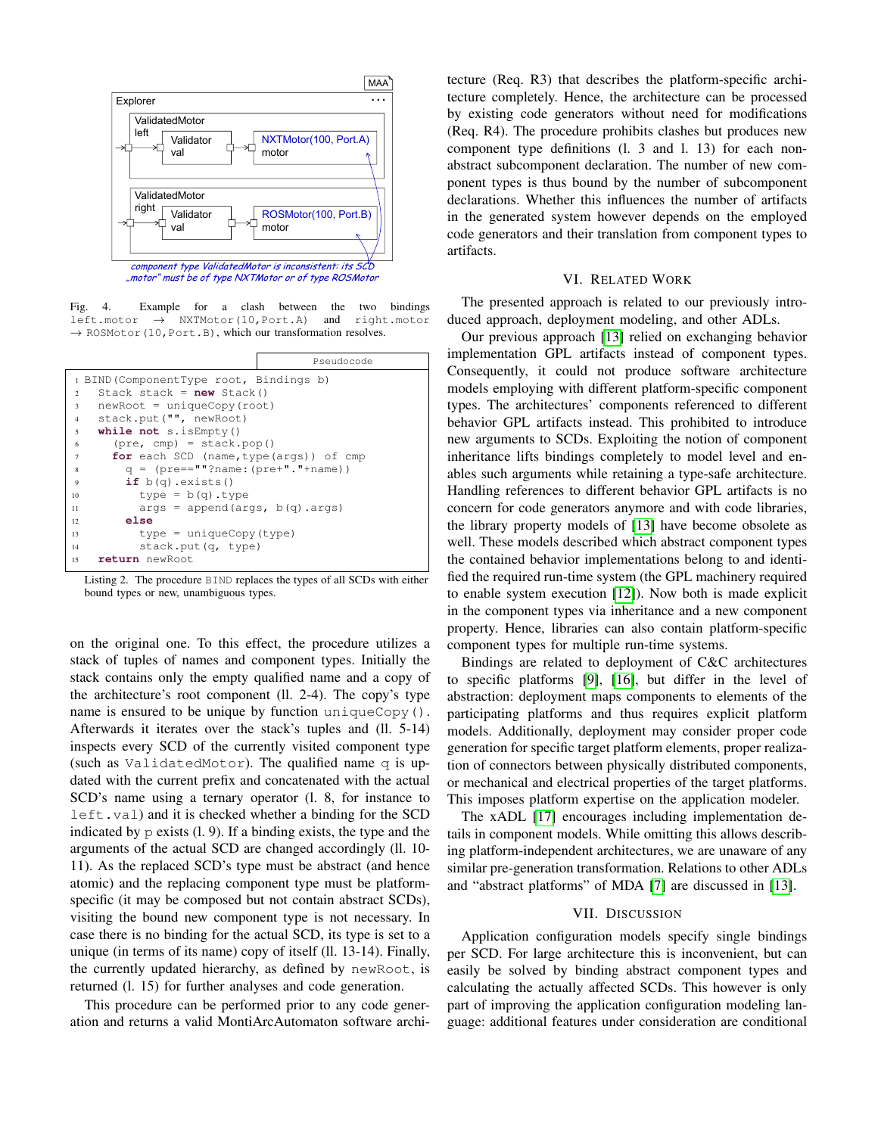

<span id="page-4-1"></span>Fig. 4. Example for a clash between the two bindings left.motor → NXTMotor(10,Port.A) and right.motor  $\rightarrow$  ROSMotor(10, Port.B), which our transformation resolves.

<span id="page-4-2"></span>

Listing 2. The procedure BIND replaces the types of all SCDs with either bound types or new, unambiguous types.

on the original one. To this effect, the procedure utilizes a stack of tuples of names and component types. Initially the stack contains only the empty qualified name and a copy of the architecture's root component (ll. 2-4). The copy's type name is ensured to be unique by function uniqueCopy(). Afterwards it iterates over the stack's tuples and (ll. 5-14) inspects every SCD of the currently visited component type (such as ValidatedMotor). The qualified name q is updated with the current prefix and concatenated with the actual SCD's name using a ternary operator (l. 8, for instance to left.val) and it is checked whether a binding for the SCD indicated by  $p$  exists  $(1, 9)$ . If a binding exists, the type and the arguments of the actual SCD are changed accordingly (ll. 10- 11). As the replaced SCD's type must be abstract (and hence atomic) and the replacing component type must be platformspecific (it may be composed but not contain abstract SCDs), visiting the bound new component type is not necessary. In case there is no binding for the actual SCD, its type is set to a unique (in terms of its name) copy of itself (ll. 13-14). Finally, the currently updated hierarchy, as defined by newRoot, is returned (l. 15) for further analyses and code generation.

This procedure can be performed prior to any code generation and returns a valid MontiArcAutomaton software architecture (Req. R3) that describes the platform-specific architecture completely. Hence, the architecture can be processed by existing code generators without need for modifications (Req. R4). The procedure prohibits clashes but produces new component type definitions (l. 3 and l. 13) for each nonabstract subcomponent declaration. The number of new component types is thus bound by the number of subcomponent declarations. Whether this influences the number of artifacts in the generated system however depends on the employed code generators and their translation from component types to artifacts.

#### VI. RELATED WORK

<span id="page-4-0"></span>The presented approach is related to our previously introduced approach, deployment modeling, and other ADLs.

Our previous approach [\[13\]](#page-5-7) relied on exchanging behavior implementation GPL artifacts instead of component types. Consequently, it could not produce software architecture models employing with different platform-specific component types. The architectures' components referenced to different behavior GPL artifacts instead. This prohibited to introduce new arguments to SCDs. Exploiting the notion of component inheritance lifts bindings completely to model level and enables such arguments while retaining a type-safe architecture. Handling references to different behavior GPL artifacts is no concern for code generators anymore and with code libraries, the library property models of [\[13\]](#page-5-7) have become obsolete as well. These models described which abstract component types the contained behavior implementations belong to and identified the required run-time system (the GPL machinery required to enable system execution [\[12\]](#page-5-6)). Now both is made explicit in the component types via inheritance and a new component property. Hence, libraries can also contain platform-specific component types for multiple run-time systems.

Bindings are related to deployment of C&C architectures to specific platforms [\[9\]](#page-5-4), [\[16\]](#page-5-12), but differ in the level of abstraction: deployment maps components to elements of the participating platforms and thus requires explicit platform models. Additionally, deployment may consider proper code generation for specific target platform elements, proper realization of connectors between physically distributed components, or mechanical and electrical properties of the target platforms. This imposes platform expertise on the application modeler.

The xADL [\[17\]](#page-5-13) encourages including implementation details in component models. While omitting this allows describing platform-independent architectures, we are unaware of any similar pre-generation transformation. Relations to other ADLs and "abstract platforms" of MDA [\[7\]](#page-5-3) are discussed in [\[13\]](#page-5-7).

#### VII. DISCUSSION

Application configuration models specify single bindings per SCD. For large architecture this is inconvenient, but can easily be solved by binding abstract component types and calculating the actually affected SCDs. This however is only part of improving the application configuration modeling language: additional features under consideration are conditional